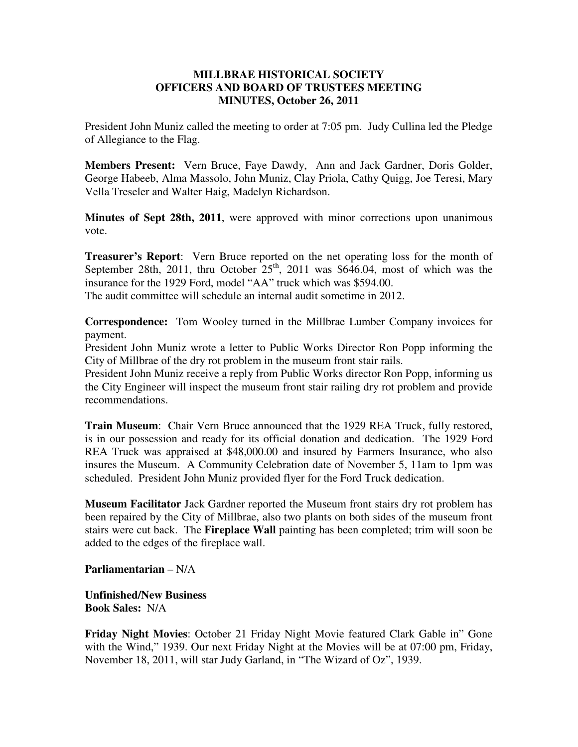## **MILLBRAE HISTORICAL SOCIETY OFFICERS AND BOARD OF TRUSTEES MEETING MINUTES, October 26, 2011**

President John Muniz called the meeting to order at 7:05 pm. Judy Cullina led the Pledge of Allegiance to the Flag.

**Members Present:** Vern Bruce, Faye Dawdy, Ann and Jack Gardner, Doris Golder, George Habeeb, Alma Massolo, John Muniz, Clay Priola, Cathy Quigg, Joe Teresi, Mary Vella Treseler and Walter Haig, Madelyn Richardson.

**Minutes of Sept 28th, 2011**, were approved with minor corrections upon unanimous vote.

**Treasurer's Report**: Vern Bruce reported on the net operating loss for the month of September 28th, 2011, thru October  $25<sup>th</sup>$ , 2011 was \$646.04, most of which was the insurance for the 1929 Ford, model "AA" truck which was \$594.00. The audit committee will schedule an internal audit sometime in 2012.

**Correspondence:** Tom Wooley turned in the Millbrae Lumber Company invoices for payment.

President John Muniz wrote a letter to Public Works Director Ron Popp informing the City of Millbrae of the dry rot problem in the museum front stair rails.

President John Muniz receive a reply from Public Works director Ron Popp, informing us the City Engineer will inspect the museum front stair railing dry rot problem and provide recommendations.

**Train Museum**: Chair Vern Bruce announced that the 1929 REA Truck, fully restored, is in our possession and ready for its official donation and dedication. The 1929 Ford REA Truck was appraised at \$48,000.00 and insured by Farmers Insurance, who also insures the Museum. A Community Celebration date of November 5, 11am to 1pm was scheduled. President John Muniz provided flyer for the Ford Truck dedication.

**Museum Facilitator** Jack Gardner reported the Museum front stairs dry rot problem has been repaired by the City of Millbrae, also two plants on both sides of the museum front stairs were cut back. The **Fireplace Wall** painting has been completed; trim will soon be added to the edges of the fireplace wall.

**Parliamentarian** – N/A

**Unfinished/New Business Book Sales:** N/A

**Friday Night Movies**: October 21 Friday Night Movie featured Clark Gable in" Gone with the Wind," 1939. Our next Friday Night at the Movies will be at 07:00 pm, Friday, November 18, 2011, will star Judy Garland, in "The Wizard of Oz", 1939.